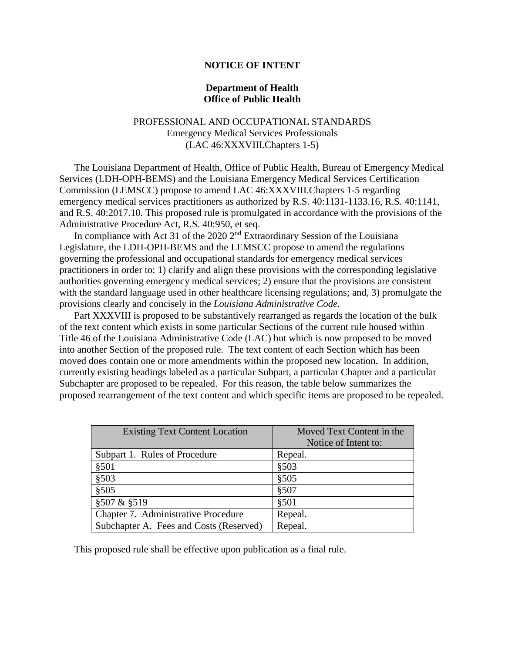# **NOTICE OF INTENT**

# **Department of Health Office of Public Health**

# PROFESSIONAL AND OCCUPATIONAL STANDARDS Emergency Medical Services Professionals (LAC 46:XXXVIII.Chapters 1-5)

The Louisiana Department of Health, Office of Public Health, Bureau of Emergency Medical Services (LDH-OPH-BEMS) and the Louisiana Emergency Medical Services Certification Commission (LEMSCC) propose to amend LAC 46:XXXVIII.Chapters 1-5 regarding emergency medical services practitioners as authorized by R.S. 40:1131-1133.16, R.S. 40:1141, and R.S. 40:2017.10. This proposed rule is promulgated in accordance with the provisions of the Administrative Procedure Act, R.S. 40:950, et seq.

In compliance with Act 31 of the 2020  $2<sup>nd</sup>$  Extraordinary Session of the Louisiana Legislature, the LDH-OPH-BEMS and the LEMSCC propose to amend the regulations governing the professional and occupational standards for emergency medical services practitioners in order to: 1) clarify and align these provisions with the corresponding legislative authorities governing emergency medical services; 2) ensure that the provisions are consistent with the standard language used in other healthcare licensing regulations; and, 3) promulgate the provisions clearly and concisely in the *Louisiana Administrative Code*.

Part XXXVIII is proposed to be substantively rearranged as regards the location of the bulk of the text content which exists in some particular Sections of the current rule housed within Title 46 of the Louisiana Administrative Code (LAC) but which is now proposed to be moved into another Section of the proposed rule. The text content of each Section which has been moved does contain one or more amendments within the proposed new location. In addition, currently existing headings labeled as a particular Subpart, a particular Chapter and a particular Subchapter are proposed to be repealed. For this reason, the table below summarizes the proposed rearrangement of the text content and which specific items are proposed to be repealed.

| <b>Existing Text Content Location</b>   | Moved Text Content in the<br>Notice of Intent to: |
|-----------------------------------------|---------------------------------------------------|
| Subpart 1. Rules of Procedure           | Repeal.                                           |
| \$501                                   | \$503                                             |
| \$503                                   | \$505                                             |
| \$505                                   | \$507                                             |
| §507 & §519                             | \$501                                             |
| Chapter 7. Administrative Procedure     | Repeal.                                           |
| Subchapter A. Fees and Costs (Reserved) | Repeal.                                           |

This proposed rule shall be effective upon publication as a final rule.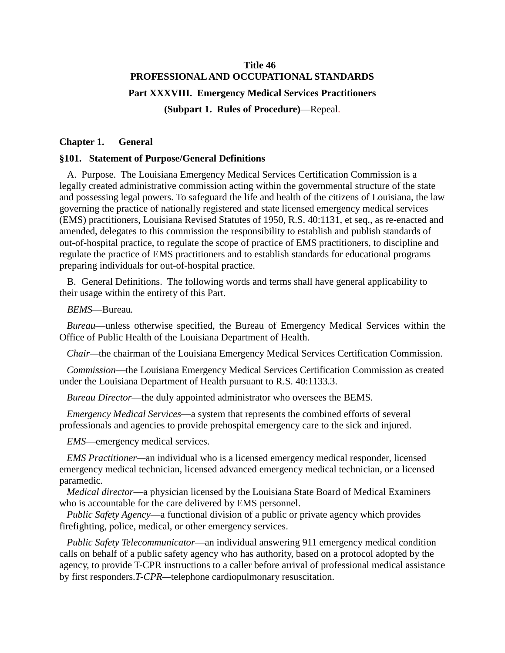# **Title 46 PROFESSIONAL AND OCCUPATIONAL STANDARDS Part XXXVIII. Emergency Medical Services Practitioners (Subpart 1. Rules of Procedure)**—Repeal.

# **Chapter 1. General**

# **§101. Statement of Purpose/General Definitions**

A. Purpose. The Louisiana Emergency Medical Services Certification Commission is a legally created administrative commission acting within the governmental structure of the state and possessing legal powers. To safeguard the life and health of the citizens of Louisiana, the law governing the practice of nationally registered and state licensed emergency medical services (EMS) practitioners, Louisiana Revised Statutes of 1950, R.S. 40:1131, et seq., as re-enacted and amended, delegates to this commission the responsibility to establish and publish standards of out-of-hospital practice, to regulate the scope of practice of EMS practitioners, to discipline and regulate the practice of EMS practitioners and to establish standards for educational programs preparing individuals for out-of-hospital practice.

B. General Definitions. The following words and terms shall have general applicability to their usage within the entirety of this Part.

*BEMS*—Bureau*.*

*Bureau*—unless otherwise specified, the Bureau of Emergency Medical Services within the Office of Public Health of the Louisiana Department of Health.

*Chair—*the chairman of the Louisiana Emergency Medical Services Certification Commission.

*Commission*—the Louisiana Emergency Medical Services Certification Commission as created under the Louisiana Department of Health pursuant to R.S. 40:1133.3.

*Bureau Director*—the duly appointed administrator who oversees the BEMS*.*

*Emergency Medical Services*—a system that represents the combined efforts of several professionals and agencies to provide prehospital emergency care to the sick and injured.

*EMS*—emergency medical services.

*EMS Practitioner—*an individual who is a licensed emergency medical responder, licensed emergency medical technician, licensed advanced emergency medical technician, or a licensed paramedic*.*

*Medical director*—a physician licensed by the Louisiana State Board of Medical Examiners who is accountable for the care delivered by EMS personnel.

*Public Safety Agency*—a functional division of a public or private agency which provides firefighting, police, medical, or other emergency services.

*Public Safety Telecommunicator*—an individual answering 911 emergency medical condition calls on behalf of a public safety agency who has authority, based on a protocol adopted by the agency, to provide T-CPR instructions to a caller before arrival of professional medical assistance by first responders.*T-CPR—*telephone cardiopulmonary resuscitation.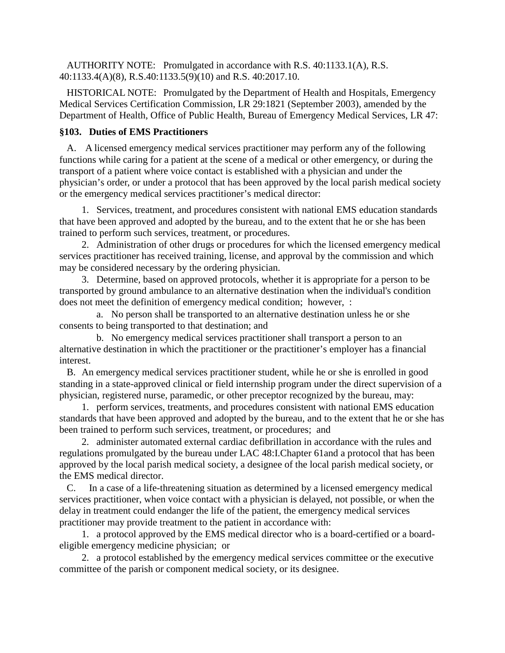AUTHORITY NOTE: Promulgated in accordance with R.S. 40:1133.1(A), R.S. 40:1133.4(A)(8), R.S.40:1133.5(9)(10) and R.S. 40:2017.10.

HISTORICAL NOTE: Promulgated by the Department of Health and Hospitals, Emergency Medical Services Certification Commission, LR 29:1821 (September 2003), amended by the Department of Health, Office of Public Health, Bureau of Emergency Medical Services, LR 47:

# **§103. Duties of EMS Practitioners**

A. A licensed emergency medical services practitioner may perform any of the following functions while caring for a patient at the scene of a medical or other emergency, or during the transport of a patient where voice contact is established with a physician and under the physician's order, or under a protocol that has been approved by the local parish medical society or the emergency medical services practitioner's medical director:

1. Services, treatment, and procedures consistent with national EMS education standards that have been approved and adopted by the bureau, and to the extent that he or she has been trained to perform such services, treatment, or procedures.

2. Administration of other drugs or procedures for which the licensed emergency medical services practitioner has received training, license, and approval by the commission and which may be considered necessary by the ordering physician.

3. Determine, based on approved protocols, whether it is appropriate for a person to be transported by ground ambulance to an alternative destination when the individual's condition does not meet the definition of emergency medical condition; however, :

a. No person shall be transported to an alternative destination unless he or she consents to being transported to that destination; and

b. No emergency medical services practitioner shall transport a person to an alternative destination in which the practitioner or the practitioner's employer has a financial interest.

B. An emergency medical services practitioner student, while he or she is enrolled in good standing in a state-approved clinical or field internship program under the direct supervision of a physician, registered nurse, paramedic, or other preceptor recognized by the bureau, may:

1. perform services, treatments, and procedures consistent with national EMS education standards that have been approved and adopted by the bureau, and to the extent that he or she has been trained to perform such services, treatment, or procedures; and

2. administer automated external cardiac defibrillation in accordance with the rules and regulations promulgated by the bureau under LAC 48:I.Chapter 61and a protocol that has been approved by the local parish medical society, a designee of the local parish medical society, or the EMS medical director.

C. In a case of a life-threatening situation as determined by a licensed emergency medical services practitioner, when voice contact with a physician is delayed, not possible, or when the delay in treatment could endanger the life of the patient, the emergency medical services practitioner may provide treatment to the patient in accordance with:

1. a protocol approved by the EMS medical director who is a board-certified or a boardeligible emergency medicine physician; or

2. a protocol established by the emergency medical services committee or the executive committee of the parish or component medical society, or its designee.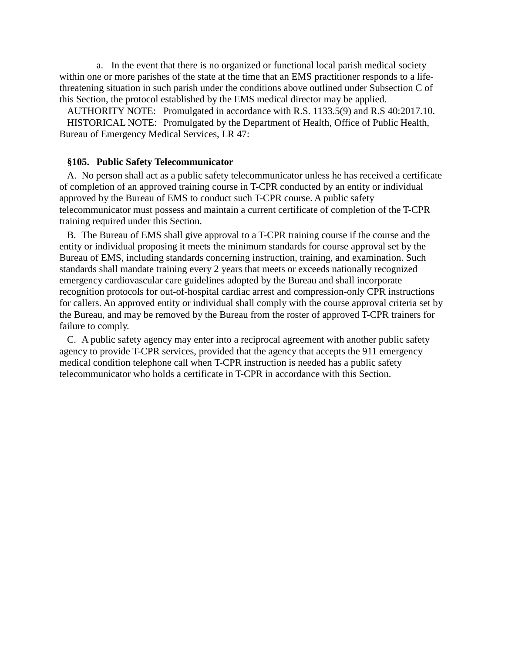a. In the event that there is no organized or functional local parish medical society within one or more parishes of the state at the time that an EMS practitioner responds to a lifethreatening situation in such parish under the conditions above outlined under Subsection C of this Section, the protocol established by the EMS medical director may be applied.

AUTHORITY NOTE: Promulgated in accordance with R.S. 1133.5(9) and R.S 40:2017.10.

HISTORICAL NOTE: Promulgated by the Department of Health, Office of Public Health, Bureau of Emergency Medical Services, LR 47:

### **§105. Public Safety Telecommunicator**

A. No person shall act as a public safety telecommunicator unless he has received a certificate of completion of an approved training course in T-CPR conducted by an entity or individual approved by the Bureau of EMS to conduct such T-CPR course. A public safety telecommunicator must possess and maintain a current certificate of completion of the T-CPR training required under this Section.

B. The Bureau of EMS shall give approval to a T-CPR training course if the course and the entity or individual proposing it meets the minimum standards for course approval set by the Bureau of EMS, including standards concerning instruction, training, and examination. Such standards shall mandate training every 2 years that meets or exceeds nationally recognized emergency cardiovascular care guidelines adopted by the Bureau and shall incorporate recognition protocols for out-of-hospital cardiac arrest and compression-only CPR instructions for callers. An approved entity or individual shall comply with the course approval criteria set by the Bureau, and may be removed by the Bureau from the roster of approved T-CPR trainers for failure to comply.

C. A public safety agency may enter into a reciprocal agreement with another public safety agency to provide T-CPR services, provided that the agency that accepts the 911 emergency medical condition telephone call when T-CPR instruction is needed has a public safety telecommunicator who holds a certificate in T-CPR in accordance with this Section.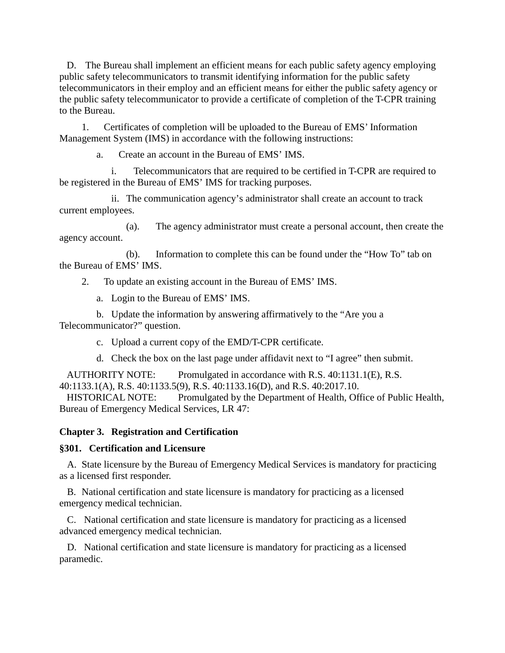D. The Bureau shall implement an efficient means for each public safety agency employing public safety telecommunicators to transmit identifying information for the public safety telecommunicators in their employ and an efficient means for either the public safety agency or the public safety telecommunicator to provide a certificate of completion of the T-CPR training to the Bureau.

1. Certificates of completion will be uploaded to the Bureau of EMS' Information Management System (IMS) in accordance with the following instructions:

a. Create an account in the Bureau of EMS' IMS.

i. Telecommunicators that are required to be certified in T-CPR are required to be registered in the Bureau of EMS' IMS for tracking purposes.

ii. The communication agency's administrator shall create an account to track current employees.

(a). The agency administrator must create a personal account, then create the agency account.

(b). Information to complete this can be found under the "How To" tab on the Bureau of EMS' IMS.

2. To update an existing account in the Bureau of EMS' IMS.

a. Login to the Bureau of EMS' IMS.

b. Update the information by answering affirmatively to the "Are you a Telecommunicator?" question.

c. Upload a current copy of the EMD/T-CPR certificate.

d. Check the box on the last page under affidavit next to "I agree" then submit.

AUTHORITY NOTE: Promulgated in accordance with R.S. 40:1131.1(E), R.S.

40:1133.1(A), R.S. 40:1133.5(9), R.S. 40:1133.16(D), and R.S. 40:2017.10.

HISTORICAL NOTE: Promulgated by the Department of Health, Office of Public Health, Bureau of Emergency Medical Services, LR 47:

**Chapter 3. Registration and Certification**

# **§301. Certification and Licensure**

A. State licensure by the Bureau of Emergency Medical Services is mandatory for practicing as a licensed first responder.

B. National certification and state licensure is mandatory for practicing as a licensed emergency medical technician.

C. National certification and state licensure is mandatory for practicing as a licensed advanced emergency medical technician.

D. National certification and state licensure is mandatory for practicing as a licensed paramedic.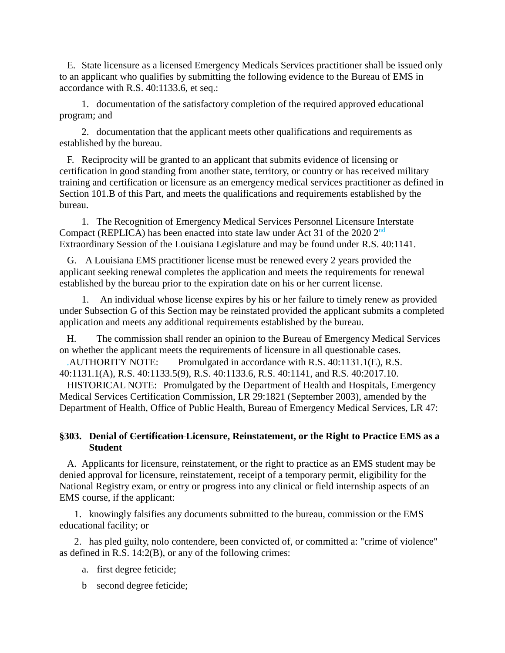E. State licensure as a licensed Emergency Medicals Services practitioner shall be issued only to an applicant who qualifies by submitting the following evidence to the Bureau of EMS in accordance with R.S. 40:1133.6, et seq.:

1. documentation of the satisfactory completion of the required approved educational program; and

2. documentation that the applicant meets other qualifications and requirements as established by the bureau.

F. Reciprocity will be granted to an applicant that submits evidence of licensing or certification in good standing from another state, territory, or country or has received military training and certification or licensure as an emergency medical services practitioner as defined in Section 101.B of this Part, and meets the qualifications and requirements established by the bureau.

1. The Recognition of Emergency Medical Services Personnel Licensure Interstate Compact (REPLICA) has been enacted into state law under Act 31 of the 2020 2<sup>nd</sup> Extraordinary Session of the Louisiana Legislature and may be found under R.S. 40:1141.

G. A Louisiana EMS practitioner license must be renewed every 2 years provided the applicant seeking renewal completes the application and meets the requirements for renewal established by the bureau prior to the expiration date on his or her current license.

1. An individual whose license expires by his or her failure to timely renew as provided under Subsection G of this Section may be reinstated provided the applicant submits a completed application and meets any additional requirements established by the bureau.

H. The commission shall render an opinion to the Bureau of Emergency Medical Services on whether the applicant meets the requirements of licensure in all questionable cases.

.AUTHORITY NOTE: Promulgated in accordance with R.S. 40:1131.1(E), R.S. 40:1131.1(A), R.S. 40:1133.5(9), R.S. 40:1133.6, R.S. 40:1141, and R.S. 40:2017.10.

HISTORICAL NOTE: Promulgated by the Department of Health and Hospitals, Emergency Medical Services Certification Commission, LR 29:1821 (September 2003), amended by the Department of Health, Office of Public Health, Bureau of Emergency Medical Services, LR 47:

# **§303. Denial of Certification Licensure, Reinstatement, or the Right to Practice EMS as a Student**

A. Applicants for licensure, reinstatement, or the right to practice as an EMS student may be denied approval for licensure, reinstatement, receipt of a temporary permit, eligibility for the National Registry exam, or entry or progress into any clinical or field internship aspects of an EMS course, if the applicant:

1. knowingly falsifies any documents submitted to the bureau, commission or the EMS educational facility; or

2. has pled guilty, nolo contendere, been convicted of, or committed a: "crime of violence" as defined in R.S. 14:2(B), or any of the following crimes:

a. first degree feticide;

b second degree feticide;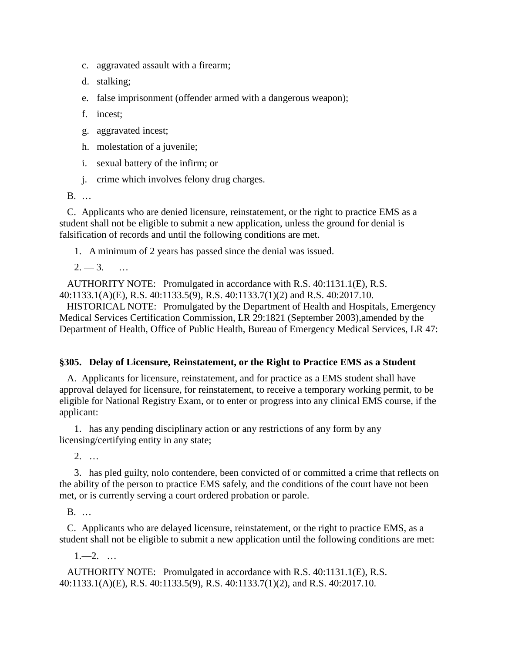- c. aggravated assault with a firearm;
- d. stalking;
- e. false imprisonment (offender armed with a dangerous weapon);
- f. incest;
- g. aggravated incest;
- h. molestation of a juvenile;
- i. sexual battery of the infirm; or
- j. crime which involves felony drug charges.

B. …

C. Applicants who are denied licensure, reinstatement, or the right to practice EMS as a student shall not be eligible to submit a new application, unless the ground for denial is falsification of records and until the following conditions are met.

1. A minimum of 2 years has passed since the denial was issued.

 $2. -3.$  …

AUTHORITY NOTE: Promulgated in accordance with R.S. 40:1131.1(E), R.S. 40:1133.1(A)(E), R.S. 40:1133.5(9), R.S. 40:1133.7(1)(2) and R.S. 40:2017.10.

HISTORICAL NOTE: Promulgated by the Department of Health and Hospitals, Emergency Medical Services Certification Commission, LR 29:1821 (September 2003),amended by the Department of Health, Office of Public Health, Bureau of Emergency Medical Services, LR 47:

### **§305. Delay of Licensure, Reinstatement, or the Right to Practice EMS as a Student**

A. Applicants for licensure, reinstatement, and for practice as a EMS student shall have approval delayed for licensure, for reinstatement, to receive a temporary working permit, to be eligible for National Registry Exam, or to enter or progress into any clinical EMS course, if the applicant:

1. has any pending disciplinary action or any restrictions of any form by any licensing/certifying entity in any state;

2. …

3. has pled guilty, nolo contendere, been convicted of or committed a crime that reflects on the ability of the person to practice EMS safely, and the conditions of the court have not been met, or is currently serving a court ordered probation or parole.

B. …

C. Applicants who are delayed licensure, reinstatement, or the right to practice EMS, as a student shall not be eligible to submit a new application until the following conditions are met:

 $1 - 2$ . ...

AUTHORITY NOTE: Promulgated in accordance with R.S. 40:1131.1(E), R.S. 40:1133.1(A)(E), R.S. 40:1133.5(9), R.S. 40:1133.7(1)(2), and R.S. 40:2017.10.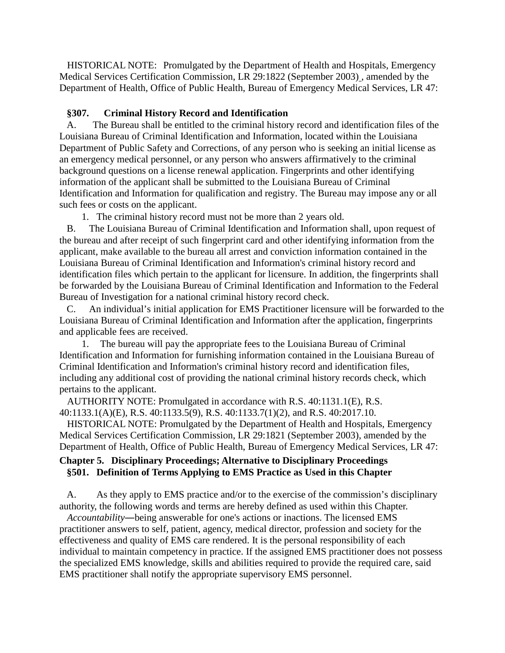HISTORICAL NOTE: Promulgated by the Department of Health and Hospitals, Emergency Medical Services Certification Commission, LR 29:1822 (September 2003) , amended by the Department of Health, Office of Public Health, Bureau of Emergency Medical Services, LR 47:

# **§307. Criminal History Record and Identification**

A. The Bureau shall be entitled to the criminal history record and identification files of the Louisiana Bureau of Criminal Identification and Information, located within the Louisiana Department of Public Safety and Corrections, of any person who is seeking an initial license as an emergency medical personnel, or any person who answers affirmatively to the criminal background questions on a license renewal application. Fingerprints and other identifying information of the applicant shall be submitted to the Louisiana Bureau of Criminal Identification and Information for qualification and registry. The Bureau may impose any or all such fees or costs on the applicant.

1. The criminal history record must not be more than 2 years old.

B. The Louisiana Bureau of Criminal Identification and Information shall, upon request of the bureau and after receipt of such fingerprint card and other identifying information from the applicant, make available to the bureau all arrest and conviction information contained in the Louisiana Bureau of Criminal Identification and Information's criminal history record and identification files which pertain to the applicant for licensure. In addition, the fingerprints shall be forwarded by the Louisiana Bureau of Criminal Identification and Information to the Federal Bureau of Investigation for a national criminal history record check.

C. An individual's initial application for EMS Practitioner licensure will be forwarded to the Louisiana Bureau of Criminal Identification and Information after the application, fingerprints and applicable fees are received.

1. The bureau will pay the appropriate fees to the Louisiana Bureau of Criminal Identification and Information for furnishing information contained in the Louisiana Bureau of Criminal Identification and Information's criminal history record and identification files, including any additional cost of providing the national criminal history records check, which pertains to the applicant.

AUTHORITY NOTE: Promulgated in accordance with R.S. 40:1131.1(E), R.S. 40:1133.1(A)(E), R.S. 40:1133.5(9), R.S. 40:1133.7(1)(2), and R.S. 40:2017.10.

HISTORICAL NOTE: Promulgated by the Department of Health and Hospitals, Emergency Medical Services Certification Commission, LR 29:1821 (September 2003), amended by the Department of Health, Office of Public Health, Bureau of Emergency Medical Services, LR 47:

# **Chapter 5. Disciplinary Proceedings; Alternative to Disciplinary Proceedings §501. Definition of Terms Applying to EMS Practice as Used in this Chapter**

A. As they apply to EMS practice and/or to the exercise of the commission's disciplinary authority, the following words and terms are hereby defined as used within this Chapter.

*Accountability*―being answerable for one's actions or inactions. The licensed EMS practitioner answers to self, patient, agency, medical director, profession and society for the effectiveness and quality of EMS care rendered. It is the personal responsibility of each individual to maintain competency in practice. If the assigned EMS practitioner does not possess the specialized EMS knowledge, skills and abilities required to provide the required care, said EMS practitioner shall notify the appropriate supervisory EMS personnel.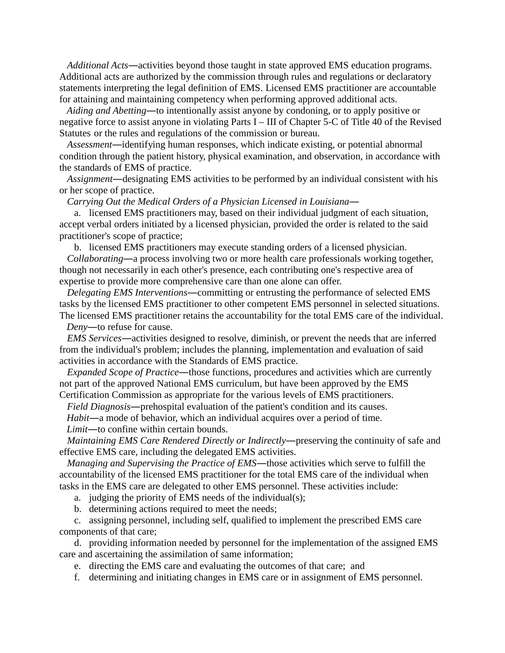*Additional Acts*―activities beyond those taught in state approved EMS education programs. Additional acts are authorized by the commission through rules and regulations or declaratory statements interpreting the legal definition of EMS. Licensed EMS practitioner are accountable for attaining and maintaining competency when performing approved additional acts.

*Aiding and Abetting*―to intentionally assist anyone by condoning, or to apply positive or negative force to assist anyone in violating Parts I – III of Chapter 5-C of Title 40 of the Revised Statutes or the rules and regulations of the commission or bureau.

*Assessment*―identifying human responses, which indicate existing, or potential abnormal condition through the patient history, physical examination, and observation, in accordance with the standards of EMS of practice.

*Assignment*―designating EMS activities to be performed by an individual consistent with his or her scope of practice.

*Carrying Out the Medical Orders of a Physician Licensed in Louisiana*―

a. licensed EMS practitioners may, based on their individual judgment of each situation, accept verbal orders initiated by a licensed physician, provided the order is related to the said practitioner's scope of practice;

b. licensed EMS practitioners may execute standing orders of a licensed physician.

*Collaborating*―a process involving two or more health care professionals working together, though not necessarily in each other's presence, each contributing one's respective area of expertise to provide more comprehensive care than one alone can offer.

*Delegating EMS Interventions*―committing or entrusting the performance of selected EMS tasks by the licensed EMS practitioner to other competent EMS personnel in selected situations. The licensed EMS practitioner retains the accountability for the total EMS care of the individual.

*Deny*―to refuse for cause.

*EMS Services*―activities designed to resolve, diminish, or prevent the needs that are inferred from the individual's problem; includes the planning, implementation and evaluation of said activities in accordance with the Standards of EMS practice.

*Expanded Scope of Practice*―those functions, procedures and activities which are currently not part of the approved National EMS curriculum, but have been approved by the EMS Certification Commission as appropriate for the various levels of EMS practitioners.

*Field Diagnosis*―prehospital evaluation of the patient's condition and its causes.

*Habit*―a mode of behavior, which an individual acquires over a period of time.

*Limit*―to confine within certain bounds.

*Maintaining EMS Care Rendered Directly or Indirectly*—preserving the continuity of safe and effective EMS care, including the delegated EMS activities.

*Managing and Supervising the Practice of EMS*―those activities which serve to fulfill the accountability of the licensed EMS practitioner for the total EMS care of the individual when tasks in the EMS care are delegated to other EMS personnel. These activities include:

a. judging the priority of EMS needs of the individual(s);

b. determining actions required to meet the needs;

c. assigning personnel, including self, qualified to implement the prescribed EMS care components of that care;

d. providing information needed by personnel for the implementation of the assigned EMS care and ascertaining the assimilation of same information;

e. directing the EMS care and evaluating the outcomes of that care; and

f. determining and initiating changes in EMS care or in assignment of EMS personnel.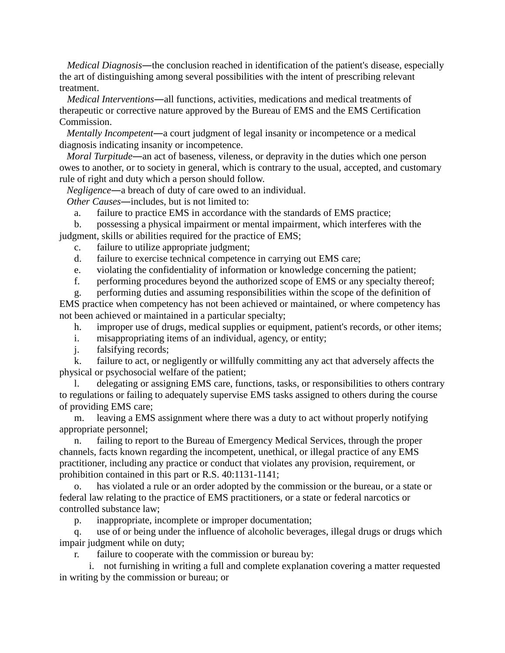*Medical Diagnosis*—the conclusion reached in identification of the patient's disease, especially the art of distinguishing among several possibilities with the intent of prescribing relevant treatment.

*Medical Interventions*―all functions, activities, medications and medical treatments of therapeutic or corrective nature approved by the Bureau of EMS and the EMS Certification Commission.

*Mentally Incompetent*―a court judgment of legal insanity or incompetence or a medical diagnosis indicating insanity or incompetence.

*Moral Turpitude*—an act of baseness, vileness, or depravity in the duties which one person owes to another, or to society in general, which is contrary to the usual, accepted, and customary rule of right and duty which a person should follow.

*Negligence*―a breach of duty of care owed to an individual.

*Other Causes*―includes, but is not limited to:

a. failure to practice EMS in accordance with the standards of EMS practice;

b. possessing a physical impairment or mental impairment, which interferes with the judgment, skills or abilities required for the practice of EMS;

- c. failure to utilize appropriate judgment;
- d. failure to exercise technical competence in carrying out EMS care;

e. violating the confidentiality of information or knowledge concerning the patient;

f. performing procedures beyond the authorized scope of EMS or any specialty thereof;

g. performing duties and assuming responsibilities within the scope of the definition of EMS practice when competency has not been achieved or maintained, or where competency has not been achieved or maintained in a particular specialty;

h. improper use of drugs, medical supplies or equipment, patient's records, or other items;

- i. misappropriating items of an individual, agency, or entity;
- j. falsifying records;

k. failure to act, or negligently or willfully committing any act that adversely affects the physical or psychosocial welfare of the patient;

l. delegating or assigning EMS care, functions, tasks, or responsibilities to others contrary to regulations or failing to adequately supervise EMS tasks assigned to others during the course of providing EMS care;

m. leaving a EMS assignment where there was a duty to act without properly notifying appropriate personnel;

n. failing to report to the Bureau of Emergency Medical Services, through the proper channels, facts known regarding the incompetent, unethical, or illegal practice of any EMS practitioner, including any practice or conduct that violates any provision, requirement, or prohibition contained in this part or R.S. 40:1131-1141;

o. has violated a rule or an order adopted by the commission or the bureau, or a state or federal law relating to the practice of EMS practitioners, or a state or federal narcotics or controlled substance law;

p. inappropriate, incomplete or improper documentation;

q. use of or being under the influence of alcoholic beverages, illegal drugs or drugs which impair judgment while on duty;

r. failure to cooperate with the commission or bureau by:

i. not furnishing in writing a full and complete explanation covering a matter requested in writing by the commission or bureau; or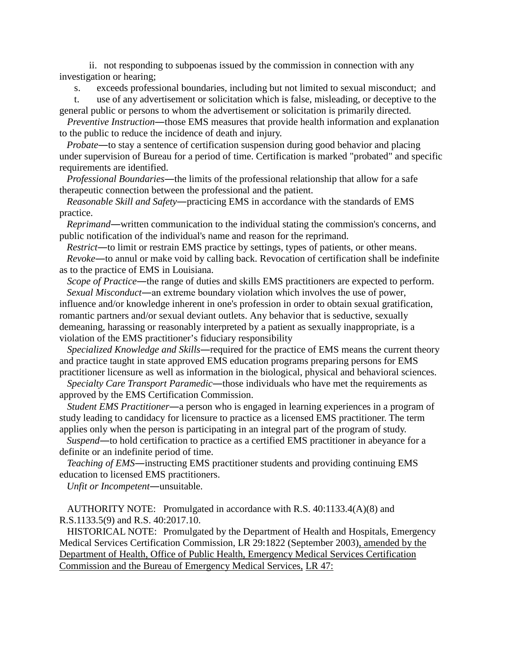ii. not responding to subpoenas issued by the commission in connection with any investigation or hearing;

s. exceeds professional boundaries, including but not limited to sexual misconduct; and

t. use of any advertisement or solicitation which is false, misleading, or deceptive to the general public or persons to whom the advertisement or solicitation is primarily directed.

*Preventive Instruction*―those EMS measures that provide health information and explanation to the public to reduce the incidence of death and injury.

*Probate*—to stay a sentence of certification suspension during good behavior and placing under supervision of Bureau for a period of time. Certification is marked "probated" and specific requirements are identified.

*Professional Boundaries*―the limits of the professional relationship that allow for a safe therapeutic connection between the professional and the patient.

*Reasonable Skill and Safety*―practicing EMS in accordance with the standards of EMS practice.

*Reprimand*―written communication to the individual stating the commission's concerns, and public notification of the individual's name and reason for the reprimand.

*Restrict*―to limit or restrain EMS practice by settings, types of patients, or other means. *Revoke*―to annul or make void by calling back. Revocation of certification shall be indefinite as to the practice of EMS in Louisiana.

*Scope of Practice*—the range of duties and skills EMS practitioners are expected to perform. *Sexual Misconduct*―an extreme boundary violation which involves the use of power,

influence and/or knowledge inherent in one's profession in order to obtain sexual gratification, romantic partners and/or sexual deviant outlets. Any behavior that is seductive, sexually demeaning, harassing or reasonably interpreted by a patient as sexually inappropriate, is a violation of the EMS practitioner's fiduciary responsibility

*Specialized Knowledge and Skills*―required for the practice of EMS means the current theory and practice taught in state approved EMS education programs preparing persons for EMS practitioner licensure as well as information in the biological, physical and behavioral sciences.

*Specialty Care Transport Paramedic*—those individuals who have met the requirements as approved by the EMS Certification Commission.

*Student EMS Practitioner*―a person who is engaged in learning experiences in a program of study leading to candidacy for licensure to practice as a licensed EMS practitioner. The term applies only when the person is participating in an integral part of the program of study.

*Suspend*―to hold certification to practice as a certified EMS practitioner in abeyance for a definite or an indefinite period of time.

*Teaching of EMS*―instructing EMS practitioner students and providing continuing EMS education to licensed EMS practitioners.

*Unfit or Incompetent*―unsuitable.

AUTHORITY NOTE: Promulgated in accordance with R.S. 40:1133.4(A)(8) and R.S.1133.5(9) and R.S. 40:2017.10.

HISTORICAL NOTE: Promulgated by the Department of Health and Hospitals, Emergency Medical Services Certification Commission, LR 29:1822 (September 2003), amended by the Department of Health, Office of Public Health, Emergency Medical Services Certification Commission and the Bureau of Emergency Medical Services, LR 47: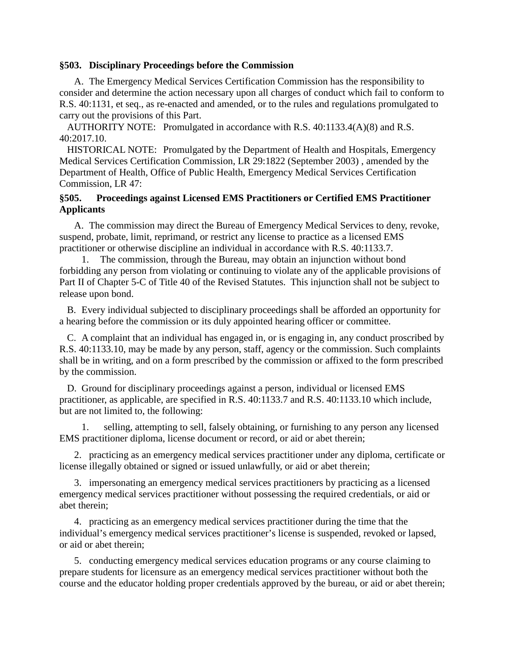### **§503. Disciplinary Proceedings before the Commission**

A. The Emergency Medical Services Certification Commission has the responsibility to consider and determine the action necessary upon all charges of conduct which fail to conform to R.S. 40:1131, et seq., as re-enacted and amended, or to the rules and regulations promulgated to carry out the provisions of this Part.

AUTHORITY NOTE: Promulgated in accordance with R.S. 40:1133.4(A)(8) and R.S. 40:2017.10.

HISTORICAL NOTE: Promulgated by the Department of Health and Hospitals, Emergency Medical Services Certification Commission, LR 29:1822 (September 2003) , amended by the Department of Health, Office of Public Health, Emergency Medical Services Certification Commission, LR 47:

# **§505. Proceedings against Licensed EMS Practitioners or Certified EMS Practitioner Applicants**

A. The commission may direct the Bureau of Emergency Medical Services to deny, revoke, suspend, probate, limit, reprimand, or restrict any license to practice as a licensed EMS practitioner or otherwise discipline an individual in accordance with R.S. 40:1133.7.

The commission, through the Bureau, may obtain an injunction without bond forbidding any person from violating or continuing to violate any of the applicable provisions of Part II of Chapter 5-C of Title 40 of the Revised Statutes. This injunction shall not be subject to release upon bond.

B. Every individual subjected to disciplinary proceedings shall be afforded an opportunity for a hearing before the commission or its duly appointed hearing officer or committee.

C. A complaint that an individual has engaged in, or is engaging in, any conduct proscribed by R.S. 40:1133.10, may be made by any person, staff, agency or the commission. Such complaints shall be in writing, and on a form prescribed by the commission or affixed to the form prescribed by the commission.

D. Ground for disciplinary proceedings against a person, individual or licensed EMS practitioner, as applicable, are specified in R.S. 40:1133.7 and R.S. 40:1133.10 which include, but are not limited to, the following:

1. selling, attempting to sell, falsely obtaining, or furnishing to any person any licensed EMS practitioner diploma, license document or record, or aid or abet therein;

2. practicing as an emergency medical services practitioner under any diploma, certificate or license illegally obtained or signed or issued unlawfully, or aid or abet therein;

3. impersonating an emergency medical services practitioners by practicing as a licensed emergency medical services practitioner without possessing the required credentials, or aid or abet therein;

4. practicing as an emergency medical services practitioner during the time that the individual's emergency medical services practitioner's license is suspended, revoked or lapsed, or aid or abet therein;

5. conducting emergency medical services education programs or any course claiming to prepare students for licensure as an emergency medical services practitioner without both the course and the educator holding proper credentials approved by the bureau, or aid or abet therein;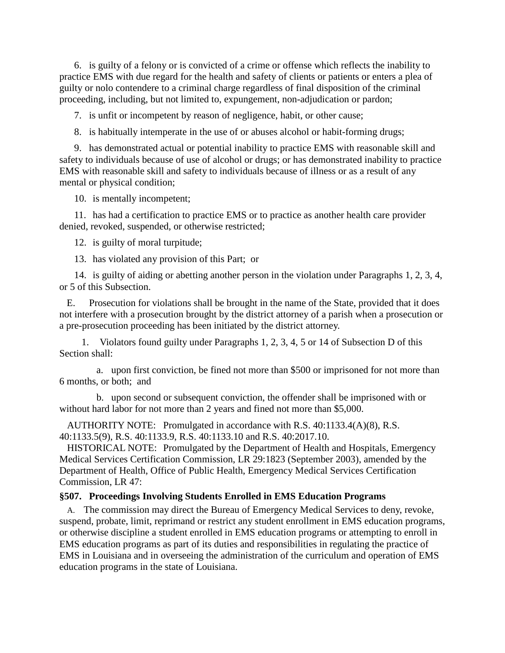6. is guilty of a felony or is convicted of a crime or offense which reflects the inability to practice EMS with due regard for the health and safety of clients or patients or enters a plea of guilty or nolo contendere to a criminal charge regardless of final disposition of the criminal proceeding, including, but not limited to, expungement, non-adjudication or pardon;

7. is unfit or incompetent by reason of negligence, habit, or other cause;

8. is habitually intemperate in the use of or abuses alcohol or habit-forming drugs;

9. has demonstrated actual or potential inability to practice EMS with reasonable skill and safety to individuals because of use of alcohol or drugs; or has demonstrated inability to practice EMS with reasonable skill and safety to individuals because of illness or as a result of any mental or physical condition;

10. is mentally incompetent;

11. has had a certification to practice EMS or to practice as another health care provider denied, revoked, suspended, or otherwise restricted;

12. is guilty of moral turpitude;

13. has violated any provision of this Part; or

14. is guilty of aiding or abetting another person in the violation under Paragraphs 1, 2, 3, 4, or 5 of this Subsection.

E. Prosecution for violations shall be brought in the name of the State, provided that it does not interfere with a prosecution brought by the district attorney of a parish when a prosecution or a pre-prosecution proceeding has been initiated by the district attorney.

1. Violators found guilty under Paragraphs 1, 2, 3, 4, 5 or 14 of Subsection D of this Section shall:

a. upon first conviction, be fined not more than \$500 or imprisoned for not more than 6 months, or both; and

b. upon second or subsequent conviction, the offender shall be imprisoned with or without hard labor for not more than 2 years and fined not more than \$5,000.

AUTHORITY NOTE: Promulgated in accordance with R.S. 40:1133.4(A)(8), R.S. 40:1133.5(9), R.S. 40:1133.9, R.S. 40:1133.10 and R.S. 40:2017.10.

HISTORICAL NOTE: Promulgated by the Department of Health and Hospitals, Emergency Medical Services Certification Commission, LR 29:1823 (September 2003), amended by the Department of Health, Office of Public Health, Emergency Medical Services Certification Commission, LR 47:

# **§507. Proceedings Involving Students Enrolled in EMS Education Programs**

A. The commission may direct the Bureau of Emergency Medical Services to deny, revoke, suspend, probate, limit, reprimand or restrict any student enrollment in EMS education programs, or otherwise discipline a student enrolled in EMS education programs or attempting to enroll in EMS education programs as part of its duties and responsibilities in regulating the practice of EMS in Louisiana and in overseeing the administration of the curriculum and operation of EMS education programs in the state of Louisiana.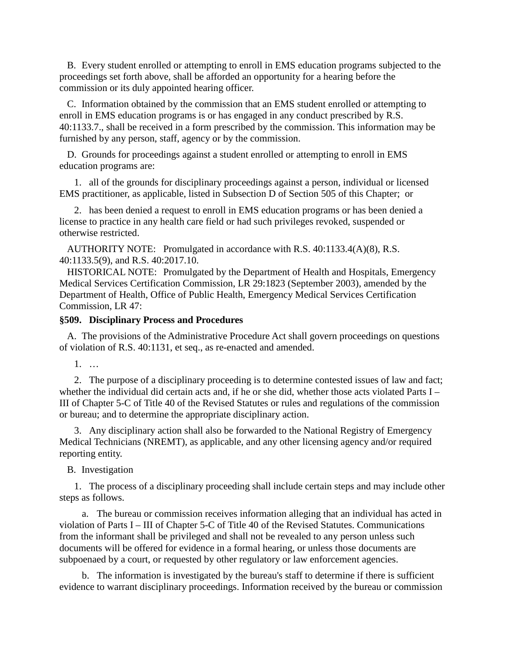B. Every student enrolled or attempting to enroll in EMS education programs subjected to the proceedings set forth above, shall be afforded an opportunity for a hearing before the commission or its duly appointed hearing officer.

C. Information obtained by the commission that an EMS student enrolled or attempting to enroll in EMS education programs is or has engaged in any conduct prescribed by R.S. 40:1133.7., shall be received in a form prescribed by the commission. This information may be furnished by any person, staff, agency or by the commission.

D. Grounds for proceedings against a student enrolled or attempting to enroll in EMS education programs are:

1. all of the grounds for disciplinary proceedings against a person, individual or licensed EMS practitioner, as applicable, listed in Subsection D of Section 505 of this Chapter; or

2. has been denied a request to enroll in EMS education programs or has been denied a license to practice in any health care field or had such privileges revoked, suspended or otherwise restricted.

AUTHORITY NOTE: Promulgated in accordance with R.S. 40:1133.4(A)(8), R.S. 40:1133.5(9), and R.S. 40:2017.10.

HISTORICAL NOTE: Promulgated by the Department of Health and Hospitals, Emergency Medical Services Certification Commission, LR 29:1823 (September 2003), amended by the Department of Health, Office of Public Health, Emergency Medical Services Certification Commission, LR 47:

# **§509. Disciplinary Process and Procedures**

A. The provisions of the Administrative Procedure Act shall govern proceedings on questions of violation of R.S. 40:1131, et seq., as re-enacted and amended.

1. …

2. The purpose of a disciplinary proceeding is to determine contested issues of law and fact; whether the individual did certain acts and, if he or she did, whether those acts violated Parts I – III of Chapter 5-C of Title 40 of the Revised Statutes or rules and regulations of the commission or bureau; and to determine the appropriate disciplinary action.

3. Any disciplinary action shall also be forwarded to the National Registry of Emergency Medical Technicians (NREMT), as applicable, and any other licensing agency and/or required reporting entity.

### B. Investigation

1. The process of a disciplinary proceeding shall include certain steps and may include other steps as follows.

a. The bureau or commission receives information alleging that an individual has acted in violation of Parts I – III of Chapter 5-C of Title 40 of the Revised Statutes. Communications from the informant shall be privileged and shall not be revealed to any person unless such documents will be offered for evidence in a formal hearing, or unless those documents are subpoenaed by a court, or requested by other regulatory or law enforcement agencies.

b. The information is investigated by the bureau's staff to determine if there is sufficient evidence to warrant disciplinary proceedings. Information received by the bureau or commission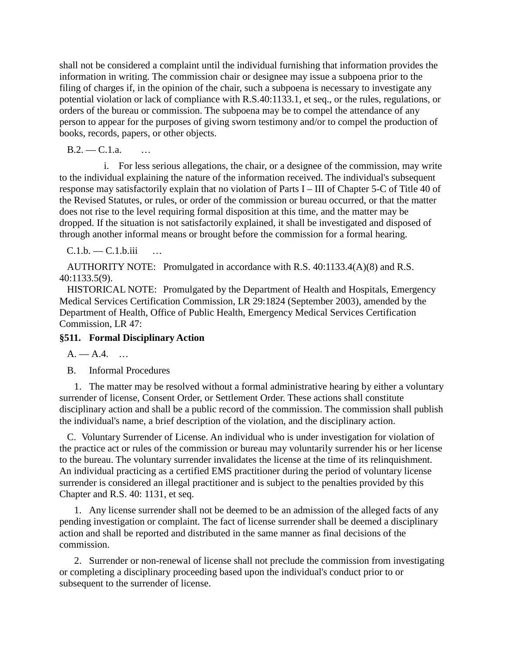shall not be considered a complaint until the individual furnishing that information provides the information in writing. The commission chair or designee may issue a subpoena prior to the filing of charges if, in the opinion of the chair, such a subpoena is necessary to investigate any potential violation or lack of compliance with R.S.40:1133.1, et seq., or the rules, regulations, or orders of the bureau or commission. The subpoena may be to compel the attendance of any person to appear for the purposes of giving sworn testimony and/or to compel the production of books, records, papers, or other objects.

B.2. — C.1.a. …

i. For less serious allegations, the chair, or a designee of the commission, may write to the individual explaining the nature of the information received. The individual's subsequent response may satisfactorily explain that no violation of Parts I – III of Chapter 5-C of Title 40 of the Revised Statutes, or rules, or order of the commission or bureau occurred, or that the matter does not rise to the level requiring formal disposition at this time, and the matter may be dropped. If the situation is not satisfactorily explained, it shall be investigated and disposed of through another informal means or brought before the commission for a formal hearing.

 $C.1.b. -C.1.b.iii$ 

AUTHORITY NOTE: Promulgated in accordance with R.S. 40:1133.4(A)(8) and R.S. 40:1133.5(9).

HISTORICAL NOTE: Promulgated by the Department of Health and Hospitals, Emergency Medical Services Certification Commission, LR 29:1824 (September 2003), amended by the Department of Health, Office of Public Health, Emergency Medical Services Certification Commission, LR 47:

# **§511. Formal Disciplinary Action**

 $A. - A.4. ...$ 

B. Informal Procedures

1. The matter may be resolved without a formal administrative hearing by either a voluntary surrender of license, Consent Order, or Settlement Order. These actions shall constitute disciplinary action and shall be a public record of the commission. The commission shall publish the individual's name, a brief description of the violation, and the disciplinary action.

C. Voluntary Surrender of License. An individual who is under investigation for violation of the practice act or rules of the commission or bureau may voluntarily surrender his or her license to the bureau. The voluntary surrender invalidates the license at the time of its relinquishment. An individual practicing as a certified EMS practitioner during the period of voluntary license surrender is considered an illegal practitioner and is subject to the penalties provided by this Chapter and R.S. 40: 1131, et seq.

1. Any license surrender shall not be deemed to be an admission of the alleged facts of any pending investigation or complaint. The fact of license surrender shall be deemed a disciplinary action and shall be reported and distributed in the same manner as final decisions of the commission.

2. Surrender or non-renewal of license shall not preclude the commission from investigating or completing a disciplinary proceeding based upon the individual's conduct prior to or subsequent to the surrender of license.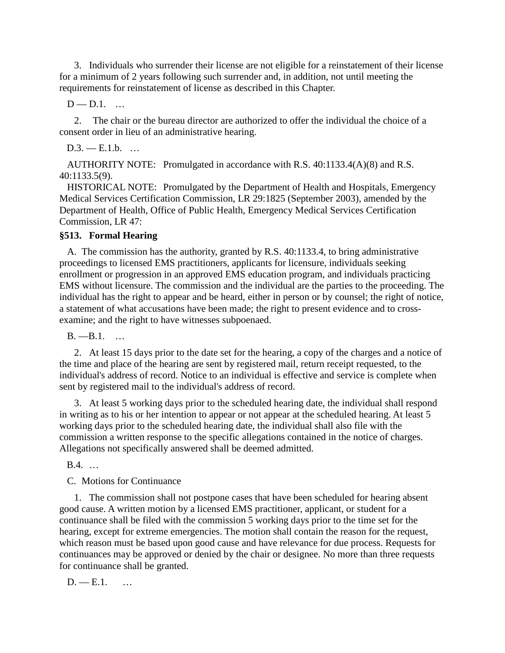3. Individuals who surrender their license are not eligible for a reinstatement of their license for a minimum of 2 years following such surrender and, in addition, not until meeting the requirements for reinstatement of license as described in this Chapter.

 $D - D.1$ . ...

2. The chair or the bureau director are authorized to offer the individual the choice of a consent order in lieu of an administrative hearing.

 $D.3. -E.1.b.$  ...

AUTHORITY NOTE: Promulgated in accordance with R.S. 40:1133.4(A)(8) and R.S. 40:1133.5(9).

HISTORICAL NOTE: Promulgated by the Department of Health and Hospitals, Emergency Medical Services Certification Commission, LR 29:1825 (September 2003), amended by the Department of Health, Office of Public Health, Emergency Medical Services Certification Commission, LR 47:

# **§513. Formal Hearing**

A. The commission has the authority, granted by R.S. 40:1133.4, to bring administrative proceedings to licensed EMS practitioners, applicants for licensure, individuals seeking enrollment or progression in an approved EMS education program, and individuals practicing EMS without licensure. The commission and the individual are the parties to the proceeding. The individual has the right to appear and be heard, either in person or by counsel; the right of notice, a statement of what accusations have been made; the right to present evidence and to crossexamine; and the right to have witnesses subpoenaed.

B. —B.1. …

2. At least 15 days prior to the date set for the hearing, a copy of the charges and a notice of the time and place of the hearing are sent by registered mail, return receipt requested, to the individual's address of record. Notice to an individual is effective and service is complete when sent by registered mail to the individual's address of record.

3. At least 5 working days prior to the scheduled hearing date, the individual shall respond in writing as to his or her intention to appear or not appear at the scheduled hearing. At least 5 working days prior to the scheduled hearing date, the individual shall also file with the commission a written response to the specific allegations contained in the notice of charges. Allegations not specifically answered shall be deemed admitted.

B.4. …

C. Motions for Continuance

1. The commission shall not postpone cases that have been scheduled for hearing absent good cause. A written motion by a licensed EMS practitioner, applicant, or student for a continuance shall be filed with the commission 5 working days prior to the time set for the hearing, except for extreme emergencies. The motion shall contain the reason for the request, which reason must be based upon good cause and have relevance for due process. Requests for continuances may be approved or denied by the chair or designee. No more than three requests for continuance shall be granted.

 $D. -E.1.$  ...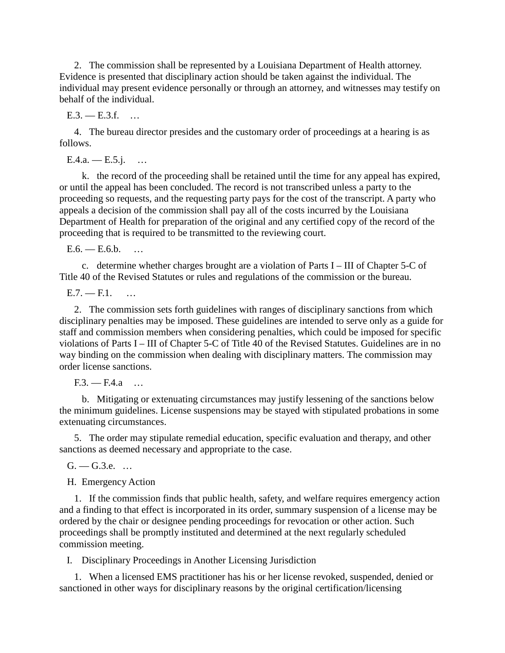2. The commission shall be represented by a Louisiana Department of Health attorney. Evidence is presented that disciplinary action should be taken against the individual. The individual may present evidence personally or through an attorney, and witnesses may testify on behalf of the individual.

 $E.3. - E.3.f. ...$ 

4. The bureau director presides and the customary order of proceedings at a hearing is as follows.

 $E.4.a. - E.5.i. ...$ 

k. the record of the proceeding shall be retained until the time for any appeal has expired, or until the appeal has been concluded. The record is not transcribed unless a party to the proceeding so requests, and the requesting party pays for the cost of the transcript. A party who appeals a decision of the commission shall pay all of the costs incurred by the Louisiana Department of Health for preparation of the original and any certified copy of the record of the proceeding that is required to be transmitted to the reviewing court.

 $E.6. - E.6.$ b. ...

c. determine whether charges brought are a violation of Parts I – III of Chapter 5-C of Title 40 of the Revised Statutes or rules and regulations of the commission or the bureau.

 $E.7. - E.1.$ 

2. The commission sets forth guidelines with ranges of disciplinary sanctions from which disciplinary penalties may be imposed. These guidelines are intended to serve only as a guide for staff and commission members when considering penalties, which could be imposed for specific violations of Parts I – III of Chapter 5-C of Title 40 of the Revised Statutes. Guidelines are in no way binding on the commission when dealing with disciplinary matters. The commission may order license sanctions.

 $F3. - F4.9$  …

b. Mitigating or extenuating circumstances may justify lessening of the sanctions below the minimum guidelines. License suspensions may be stayed with stipulated probations in some extenuating circumstances.

5. The order may stipulate remedial education, specific evaluation and therapy, and other sanctions as deemed necessary and appropriate to the case.

 $G. - G.3.e. ...$ 

H. Emergency Action

1. If the commission finds that public health, safety, and welfare requires emergency action and a finding to that effect is incorporated in its order, summary suspension of a license may be ordered by the chair or designee pending proceedings for revocation or other action. Such proceedings shall be promptly instituted and determined at the next regularly scheduled commission meeting.

I. Disciplinary Proceedings in Another Licensing Jurisdiction

1. When a licensed EMS practitioner has his or her license revoked, suspended, denied or sanctioned in other ways for disciplinary reasons by the original certification/licensing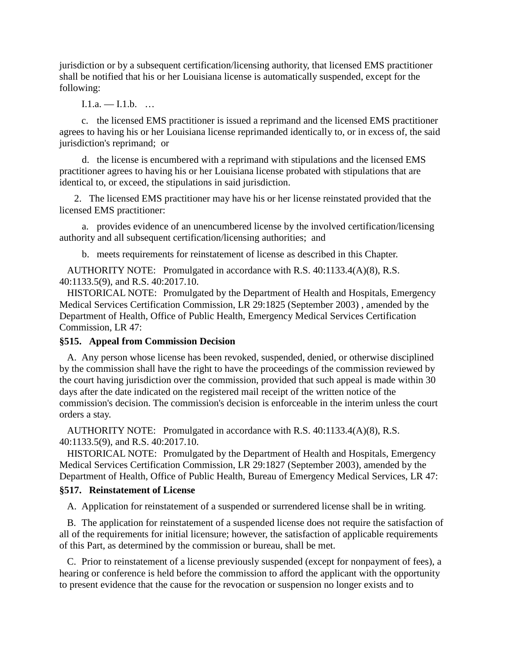jurisdiction or by a subsequent certification/licensing authority, that licensed EMS practitioner shall be notified that his or her Louisiana license is automatically suspended, except for the following:

 $I.1.a. - I.1.b. ...$ 

c. the licensed EMS practitioner is issued a reprimand and the licensed EMS practitioner agrees to having his or her Louisiana license reprimanded identically to, or in excess of, the said jurisdiction's reprimand; or

d. the license is encumbered with a reprimand with stipulations and the licensed EMS practitioner agrees to having his or her Louisiana license probated with stipulations that are identical to, or exceed, the stipulations in said jurisdiction.

2. The licensed EMS practitioner may have his or her license reinstated provided that the licensed EMS practitioner:

a. provides evidence of an unencumbered license by the involved certification/licensing authority and all subsequent certification/licensing authorities; and

b. meets requirements for reinstatement of license as described in this Chapter.

AUTHORITY NOTE: Promulgated in accordance with R.S. 40:1133.4(A)(8), R.S. 40:1133.5(9), and R.S. 40:2017.10.

HISTORICAL NOTE: Promulgated by the Department of Health and Hospitals, Emergency Medical Services Certification Commission, LR 29:1825 (September 2003) , amended by the Department of Health, Office of Public Health, Emergency Medical Services Certification Commission, LR 47:

#### **§515. Appeal from Commission Decision**

A. Any person whose license has been revoked, suspended, denied, or otherwise disciplined by the commission shall have the right to have the proceedings of the commission reviewed by the court having jurisdiction over the commission, provided that such appeal is made within 30 days after the date indicated on the registered mail receipt of the written notice of the commission's decision. The commission's decision is enforceable in the interim unless the court orders a stay.

AUTHORITY NOTE: Promulgated in accordance with R.S. 40:1133.4(A)(8), R.S. 40:1133.5(9), and R.S. 40:2017.10.

HISTORICAL NOTE: Promulgated by the Department of Health and Hospitals, Emergency Medical Services Certification Commission, LR 29:1827 (September 2003), amended by the Department of Health, Office of Public Health, Bureau of Emergency Medical Services, LR 47:

# **§517. Reinstatement of License**

A. Application for reinstatement of a suspended or surrendered license shall be in writing.

B. The application for reinstatement of a suspended license does not require the satisfaction of all of the requirements for initial licensure; however, the satisfaction of applicable requirements of this Part, as determined by the commission or bureau, shall be met.

C. Prior to reinstatement of a license previously suspended (except for nonpayment of fees), a hearing or conference is held before the commission to afford the applicant with the opportunity to present evidence that the cause for the revocation or suspension no longer exists and to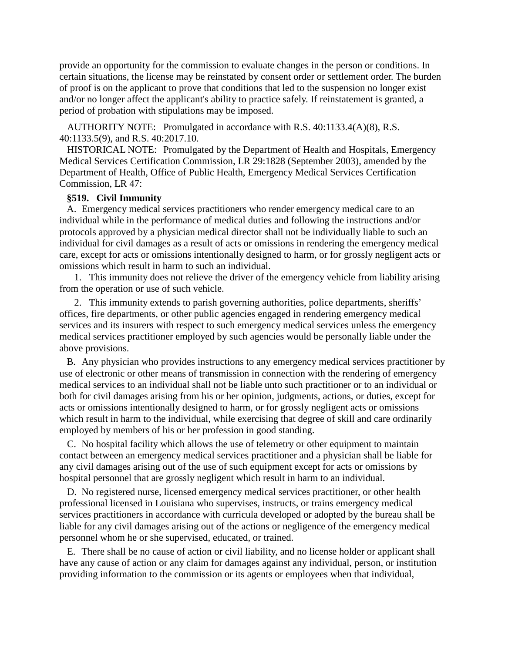provide an opportunity for the commission to evaluate changes in the person or conditions. In certain situations, the license may be reinstated by consent order or settlement order. The burden of proof is on the applicant to prove that conditions that led to the suspension no longer exist and/or no longer affect the applicant's ability to practice safely. If reinstatement is granted, a period of probation with stipulations may be imposed.

AUTHORITY NOTE: Promulgated in accordance with R.S. 40:1133.4(A)(8), R.S. 40:1133.5(9), and R.S. 40:2017.10.

HISTORICAL NOTE: Promulgated by the Department of Health and Hospitals, Emergency Medical Services Certification Commission, LR 29:1828 (September 2003), amended by the Department of Health, Office of Public Health, Emergency Medical Services Certification Commission, LR 47:

### **§519. Civil Immunity**

A. Emergency medical services practitioners who render emergency medical care to an individual while in the performance of medical duties and following the instructions and/or protocols approved by a physician medical director shall not be individually liable to such an individual for civil damages as a result of acts or omissions in rendering the emergency medical care, except for acts or omissions intentionally designed to harm, or for grossly negligent acts or omissions which result in harm to such an individual.

1. This immunity does not relieve the driver of the emergency vehicle from liability arising from the operation or use of such vehicle.

2. This immunity extends to parish governing authorities, police departments, sheriffs' offices, fire departments, or other public agencies engaged in rendering emergency medical services and its insurers with respect to such emergency medical services unless the emergency medical services practitioner employed by such agencies would be personally liable under the above provisions.

B. Any physician who provides instructions to any emergency medical services practitioner by use of electronic or other means of transmission in connection with the rendering of emergency medical services to an individual shall not be liable unto such practitioner or to an individual or both for civil damages arising from his or her opinion, judgments, actions, or duties, except for acts or omissions intentionally designed to harm, or for grossly negligent acts or omissions which result in harm to the individual, while exercising that degree of skill and care ordinarily employed by members of his or her profession in good standing.

C. No hospital facility which allows the use of telemetry or other equipment to maintain contact between an emergency medical services practitioner and a physician shall be liable for any civil damages arising out of the use of such equipment except for acts or omissions by hospital personnel that are grossly negligent which result in harm to an individual.

D. No registered nurse, licensed emergency medical services practitioner, or other health professional licensed in Louisiana who supervises, instructs, or trains emergency medical services practitioners in accordance with curricula developed or adopted by the bureau shall be liable for any civil damages arising out of the actions or negligence of the emergency medical personnel whom he or she supervised, educated, or trained.

E. There shall be no cause of action or civil liability, and no license holder or applicant shall have any cause of action or any claim for damages against any individual, person, or institution providing information to the commission or its agents or employees when that individual,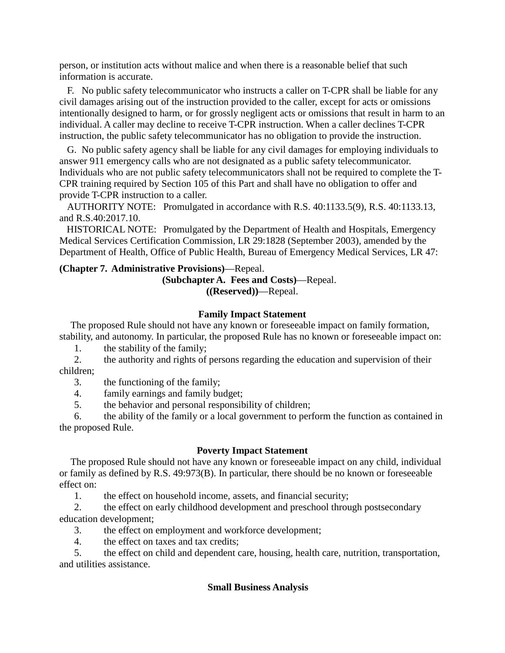person, or institution acts without malice and when there is a reasonable belief that such information is accurate.

F. No public safety telecommunicator who instructs a caller on T-CPR shall be liable for any civil damages arising out of the instruction provided to the caller, except for acts or omissions intentionally designed to harm, or for grossly negligent acts or omissions that result in harm to an individual. A caller may decline to receive T-CPR instruction. When a caller declines T-CPR instruction, the public safety telecommunicator has no obligation to provide the instruction.

G. No public safety agency shall be liable for any civil damages for employing individuals to answer 911 emergency calls who are not designated as a public safety telecommunicator. Individuals who are not public safety telecommunicators shall not be required to complete the T-CPR training required by Section 105 of this Part and shall have no obligation to offer and provide T-CPR instruction to a caller.

AUTHORITY NOTE: Promulgated in accordance with R.S. 40:1133.5(9), R.S. 40:1133.13, and R.S.40:2017.10.

HISTORICAL NOTE: Promulgated by the Department of Health and Hospitals, Emergency Medical Services Certification Commission, LR 29:1828 (September 2003), amended by the Department of Health, Office of Public Health, Bureau of Emergency Medical Services, LR 47:

# **(Chapter 7. Administrative Provisions)**—Repeal.

**(Subchapter A. Fees and Costs)**—Repeal. **((Reserved))**—Repeal.

# **Family Impact Statement**

The proposed Rule should not have any known or foreseeable impact on family formation, stability, and autonomy. In particular, the proposed Rule has no known or foreseeable impact on:

1. the stability of the family;

2. the authority and rights of persons regarding the education and supervision of their children;

3. the functioning of the family;

4. family earnings and family budget;

5. the behavior and personal responsibility of children;

6. the ability of the family or a local government to perform the function as contained in the proposed Rule.

# **Poverty Impact Statement**

The proposed Rule should not have any known or foreseeable impact on any child, individual or family as defined by R.S. 49:973(B). In particular, there should be no known or foreseeable effect on:

1. the effect on household income, assets, and financial security;

2. the effect on early childhood development and preschool through postsecondary education development;

3. the effect on employment and workforce development;

4. the effect on taxes and tax credits;

5. the effect on child and dependent care, housing, health care, nutrition, transportation, and utilities assistance.

# **Small Business Analysis**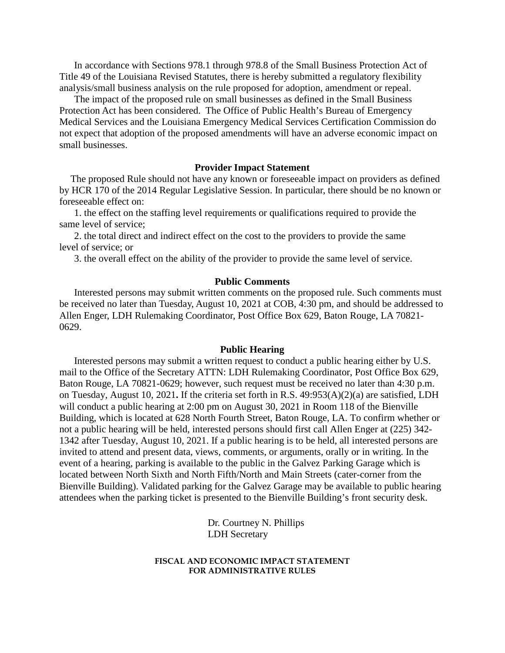In accordance with Sections 978.1 through 978.8 of the Small Business Protection Act of Title 49 of the Louisiana Revised Statutes, there is hereby submitted a regulatory flexibility analysis/small business analysis on the rule proposed for adoption, amendment or repeal.

The impact of the proposed rule on small businesses as defined in the Small Business Protection Act has been considered. The Office of Public Health's Bureau of Emergency Medical Services and the Louisiana Emergency Medical Services Certification Commission do not expect that adoption of the proposed amendments will have an adverse economic impact on small businesses.

#### **Provider Impact Statement**

The proposed Rule should not have any known or foreseeable impact on providers as defined by HCR 170 of the 2014 Regular Legislative Session. In particular, there should be no known or foreseeable effect on:

1. the effect on the staffing level requirements or qualifications required to provide the same level of service;

2. the total direct and indirect effect on the cost to the providers to provide the same level of service; or

3. the overall effect on the ability of the provider to provide the same level of service.

#### **Public Comments**

Interested persons may submit written comments on the proposed rule. Such comments must be received no later than Tuesday, August 10, 2021 at COB, 4:30 pm, and should be addressed to Allen Enger, LDH Rulemaking Coordinator, Post Office Box 629, Baton Rouge, LA 70821- 0629.

#### **Public Hearing**

Interested persons may submit a written request to conduct a public hearing either by U.S. mail to the Office of the Secretary ATTN: LDH Rulemaking Coordinator, Post Office Box 629, Baton Rouge, LA 70821-0629; however, such request must be received no later than 4:30 p.m. on Tuesday, August 10, 2021**.** If the criteria set forth in R.S. 49:953(A)(2)(a) are satisfied, LDH will conduct a public hearing at 2:00 pm on August 30, 2021 in Room 118 of the Bienville Building, which is located at 628 North Fourth Street, Baton Rouge, LA. To confirm whether or not a public hearing will be held, interested persons should first call Allen Enger at (225) 342- 1342 after Tuesday, August 10, 2021. If a public hearing is to be held, all interested persons are invited to attend and present data, views, comments, or arguments, orally or in writing. In the event of a hearing, parking is available to the public in the Galvez Parking Garage which is located between North Sixth and North Fifth/North and Main Streets (cater-corner from the Bienville Building). Validated parking for the Galvez Garage may be available to public hearing attendees when the parking ticket is presented to the Bienville Building's front security desk.

> Dr. Courtney N. Phillips LDH Secretary

#### **FISCAL AND ECONOMIC IMPACT STATEMENT FOR ADMINISTRATIVE RULES**